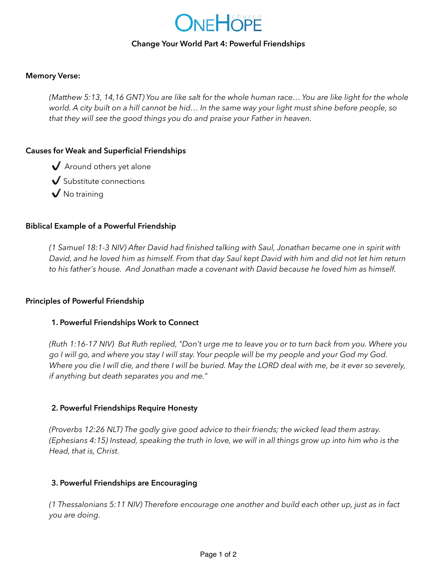

## **Change Your World Part 4: Powerful Friendships**

## **Memory Verse:**

*(Matthew 5:13, 14,16 GNT) You are like salt for the whole human race… You are like light for the whole world. A city built on a hill cannot be hid… In the same way your light must shine before people, so that they will see the good things you do and praise your Father in heaven.* 

# **Causes for Weak and Superficial Friendships**

- ✔️ Around others yet alone
- ✔️ Substitute connections
- $\sqrt{}$  No training

# **Biblical Example of a Powerful Friendship**

*(1 Samuel 18:1-3 NIV) After David had finished talking with Saul, Jonathan became one in spirit with David, and he loved him as himself. From that day Saul kept David with him and did not let him return to his father's house. And Jonathan made a covenant with David because he loved him as himself.* 

#### **Principles of Powerful Friendship**

#### **1. Powerful Friendships Work to Connect**

*(Ruth 1:16-17 NIV) But Ruth replied, "Don't urge me to leave you or to turn back from you. Where you go I will go, and where you stay I will stay. Your people will be my people and your God my God. Where you die I will die, and there I will be buried. May the LORD deal with me, be it ever so severely, if anything but death separates you and me."* 

#### **2. Powerful Friendships Require Honesty**

*(Proverbs 12:26 NLT) The godly give good advice to their friends; the wicked lead them astray. (Ephesians 4:15) Instead, speaking the truth in love, we will in all things grow up into him who is the Head, that is, Christ.* 

#### **3. Powerful Friendships are Encouraging**

*(1 Thessalonians 5:11 NIV) Therefore encourage one another and build each other up, just as in fact you are doing.*